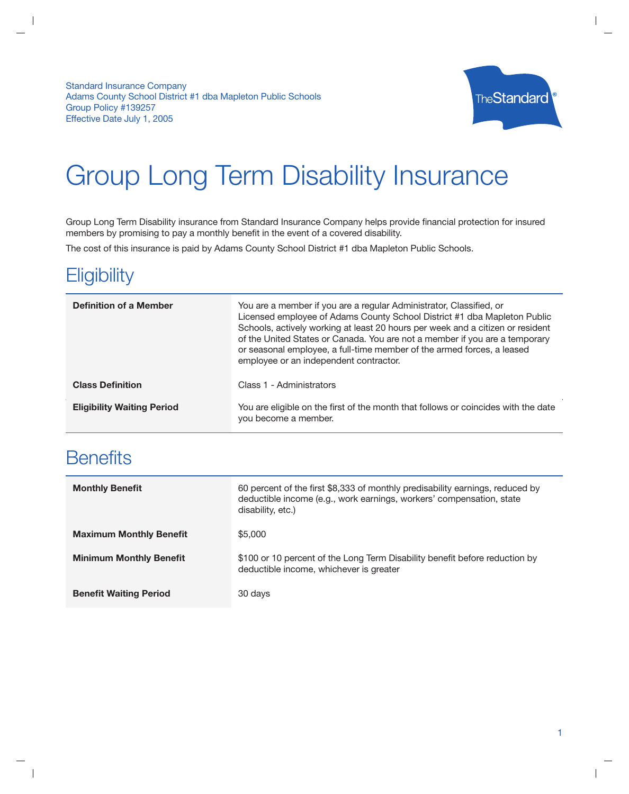**Standard Insurance Company** Adams County School District #1 dba Mapleton Public Schools Group Policy #139257 Effective Date July 1, 2005



# **Group Long Term Disability Insurance**

Group Long Term Disability insurance from Standard Insurance Company helps provide financial protection for insured members by promising to pay a monthly benefit in the event of a covered disability.

The cost of this insurance is paid by Adams County School District #1 dba Mapleton Public Schools.

## Eligibility

| <b>Definition of a Member</b>     | You are a member if you are a regular Administrator, Classified, or<br>Licensed employee of Adams County School District #1 dba Mapleton Public<br>Schools, actively working at least 20 hours per week and a citizen or resident<br>of the United States or Canada. You are not a member if you are a temporary<br>or seasonal employee, a full-time member of the armed forces, a leased<br>employee or an independent contractor. |
|-----------------------------------|--------------------------------------------------------------------------------------------------------------------------------------------------------------------------------------------------------------------------------------------------------------------------------------------------------------------------------------------------------------------------------------------------------------------------------------|
| <b>Class Definition</b>           | Class 1 - Administrators                                                                                                                                                                                                                                                                                                                                                                                                             |
| <b>Eligibility Waiting Period</b> | You are eligible on the first of the month that follows or coincides with the date<br>you become a member.                                                                                                                                                                                                                                                                                                                           |

# **Benefits**

| <b>Monthly Benefit</b>         | 60 percent of the first \$8,333 of monthly predisability earnings, reduced by<br>deductible income (e.g., work earnings, workers' compensation, state<br>disability, etc.) |
|--------------------------------|----------------------------------------------------------------------------------------------------------------------------------------------------------------------------|
| <b>Maximum Monthly Benefit</b> | \$5,000                                                                                                                                                                    |
| <b>Minimum Monthly Benefit</b> | \$100 or 10 percent of the Long Term Disability benefit before reduction by<br>deductible income, whichever is greater                                                     |
| <b>Benefit Waiting Period</b>  | 30 days                                                                                                                                                                    |